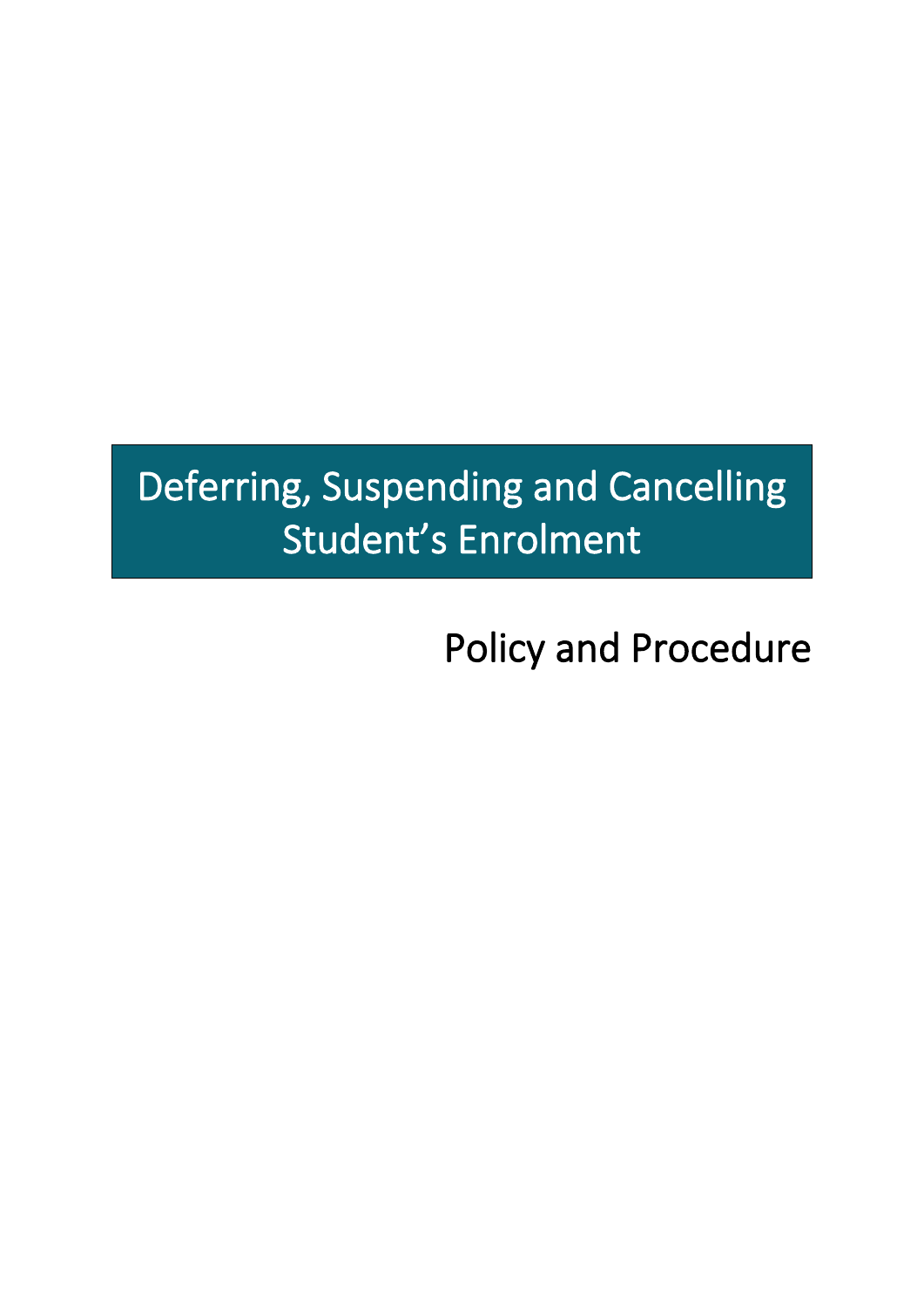# Deferring, Suspending and Cancelling Student's Enrolment

Policy and Procedure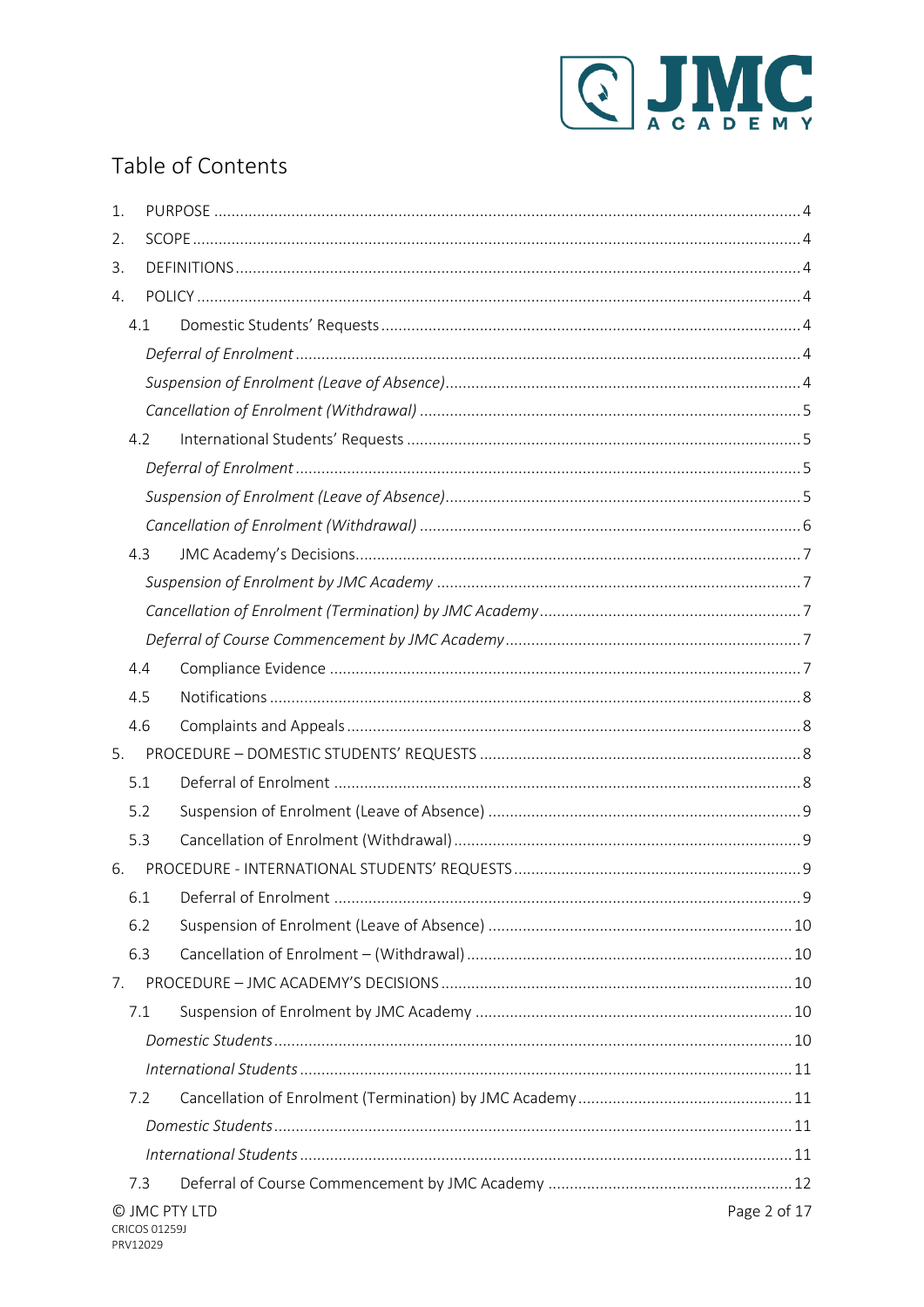

# Table of Contents

| 1. |                               |  |  |  |  |  |
|----|-------------------------------|--|--|--|--|--|
| 2. |                               |  |  |  |  |  |
| 3. |                               |  |  |  |  |  |
| 4. |                               |  |  |  |  |  |
|    | 4.1                           |  |  |  |  |  |
|    |                               |  |  |  |  |  |
|    |                               |  |  |  |  |  |
|    |                               |  |  |  |  |  |
|    | 4.2                           |  |  |  |  |  |
|    |                               |  |  |  |  |  |
|    |                               |  |  |  |  |  |
|    |                               |  |  |  |  |  |
|    | 4.3                           |  |  |  |  |  |
|    |                               |  |  |  |  |  |
|    |                               |  |  |  |  |  |
|    |                               |  |  |  |  |  |
|    | 4.4                           |  |  |  |  |  |
|    | 4.5                           |  |  |  |  |  |
|    | 4.6                           |  |  |  |  |  |
| 5. |                               |  |  |  |  |  |
|    | 5.1                           |  |  |  |  |  |
|    | 5.2                           |  |  |  |  |  |
|    | 5.3                           |  |  |  |  |  |
| 6. |                               |  |  |  |  |  |
|    | 6.1                           |  |  |  |  |  |
|    | 6.2                           |  |  |  |  |  |
|    | 6.3                           |  |  |  |  |  |
| 7. |                               |  |  |  |  |  |
|    | 7.1                           |  |  |  |  |  |
|    |                               |  |  |  |  |  |
|    |                               |  |  |  |  |  |
|    | 7.2                           |  |  |  |  |  |
|    |                               |  |  |  |  |  |
|    |                               |  |  |  |  |  |
|    | 7.3                           |  |  |  |  |  |
|    | Page 2 of 17<br>© JMC PTY LTD |  |  |  |  |  |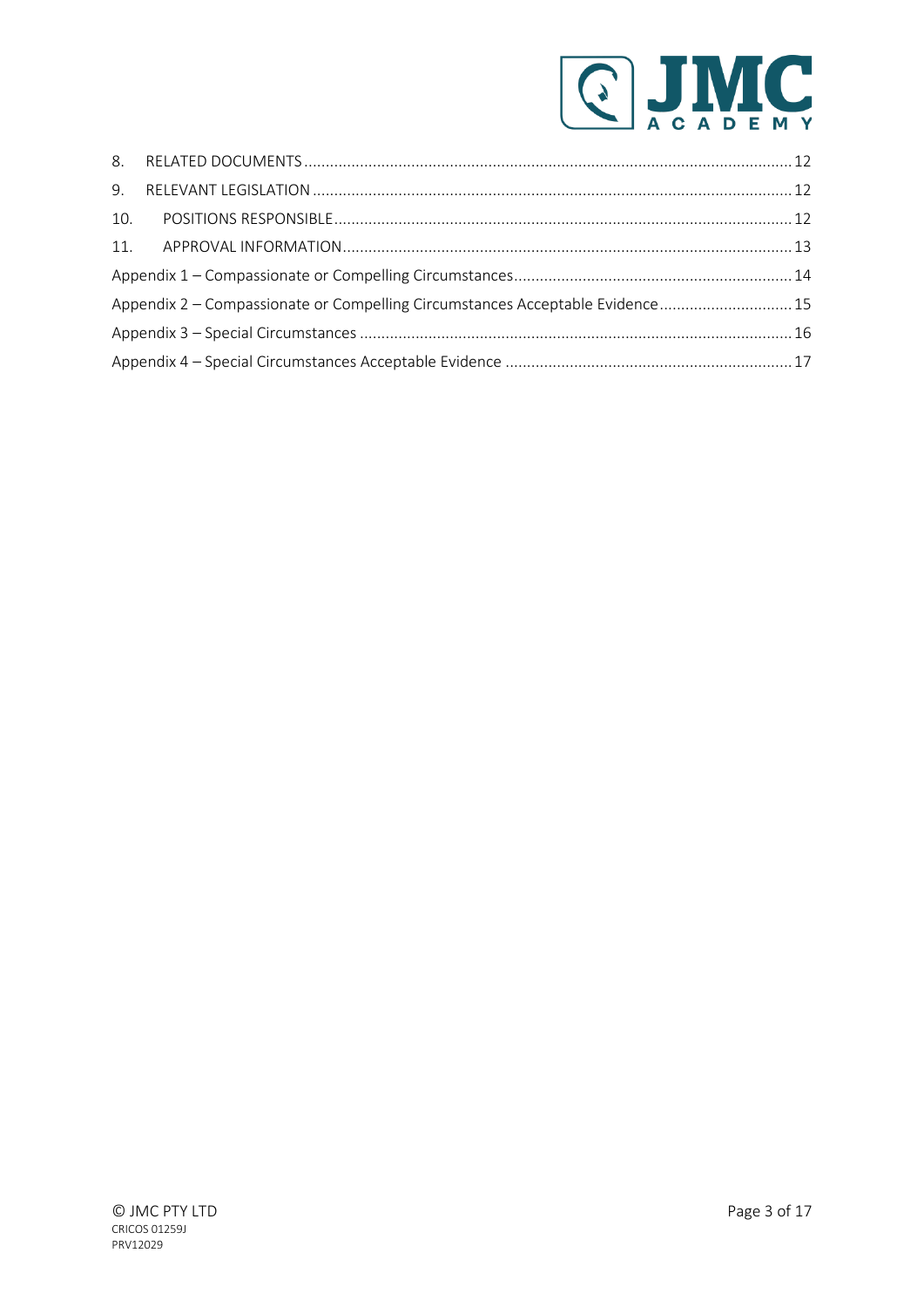

|  | Appendix 2 – Compassionate or Compelling Circumstances Acceptable Evidence 15 |  |  |
|--|-------------------------------------------------------------------------------|--|--|
|  |                                                                               |  |  |
|  |                                                                               |  |  |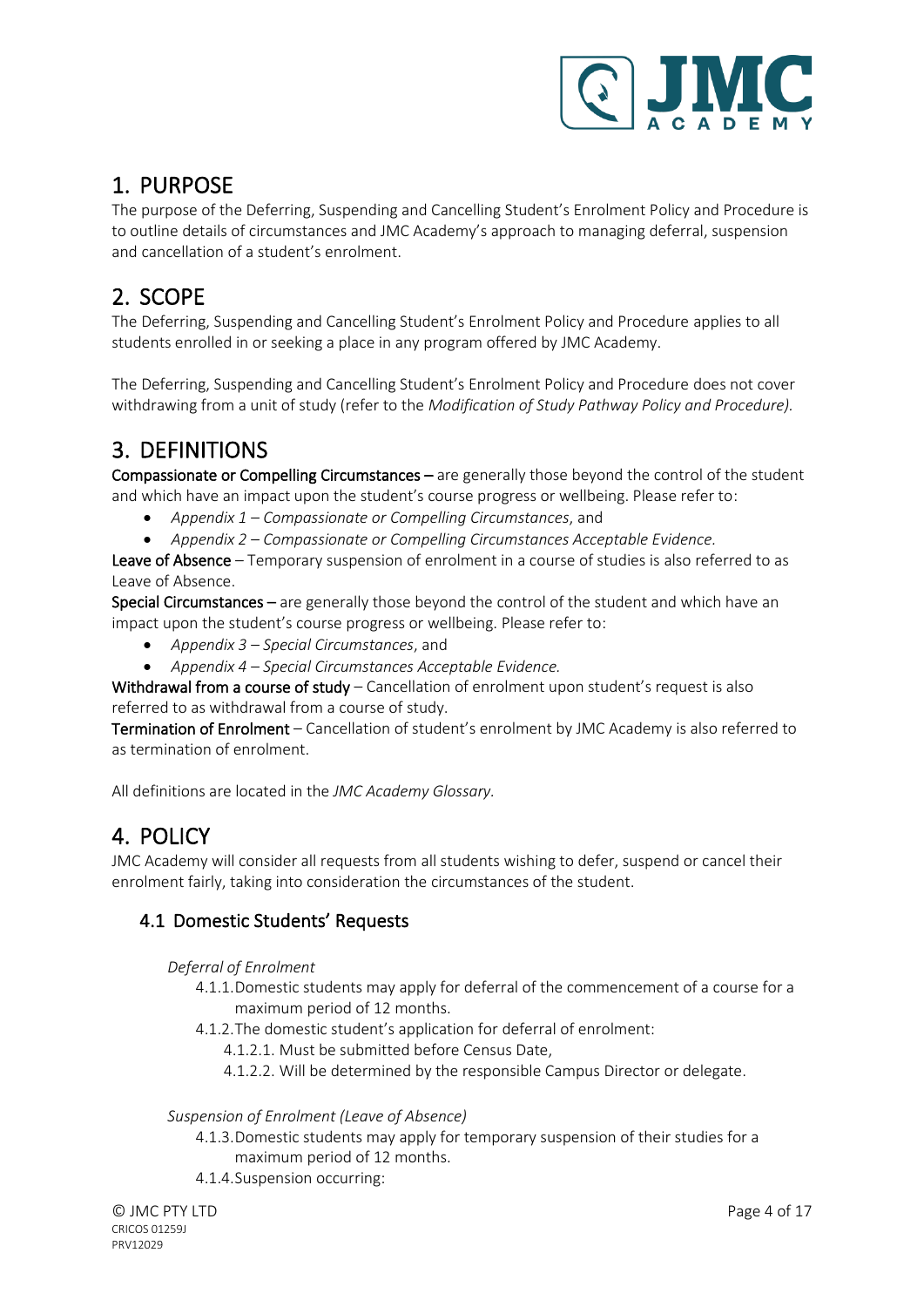

# <span id="page-3-0"></span>1. PURPOSE

The purpose of the Deferring, Suspending and Cancelling Student's Enrolment Policy and Procedure is to outline details of circumstances and JMC Academy's approach to managing deferral, suspension and cancellation of a student's enrolment.

# <span id="page-3-1"></span>2. SCOPE

The Deferring, Suspending and Cancelling Student's Enrolment Policy and Procedure applies to all students enrolled in or seeking a place in any program offered by JMC Academy.

The Deferring, Suspending and Cancelling Student's Enrolment Policy and Procedure does not cover withdrawing from a unit of study (refer to the *Modification of Study Pathway Policy and Procedure).*

# <span id="page-3-2"></span>3. DEFINITIONS

Compassionate or Compelling Circumstances – are generally those beyond the control of the student and which have an impact upon the student's course progress or wellbeing. Please refer to:

- *Appendix 1 – Compassionate or Compelling Circumstances*, and
- *Appendix 2 – Compassionate or Compelling Circumstances Acceptable Evidence.*

Leave of Absence - Temporary suspension of enrolment in a course of studies is also referred to as Leave of Absence.

Special Circumstances – are generally those beyond the control of the student and which have an impact upon the student's course progress or wellbeing. Please refer to:

- *Appendix 3 – Special Circumstances*, and
- *Appendix 4 – Special Circumstances Acceptable Evidence.*

Withdrawal from a course of study - Cancellation of enrolment upon student's request is also referred to as withdrawal from a course of study.

Termination of Enrolment – Cancellation of student's enrolment by JMC Academy is also referred to as termination of enrolment.

<span id="page-3-3"></span>All definitions are located in the *JMC Academy Glossary.*

# 4. POLICY

JMC Academy will consider all requests from all students wishing to defer, suspend or cancel their enrolment fairly, taking into consideration the circumstances of the student.

#### <span id="page-3-5"></span><span id="page-3-4"></span>4.1 Domestic Students' Requests

#### *Deferral of Enrolment*

- 4.1.1.Domestic students may apply for deferral of the commencement of a course for a maximum period of 12 months.
- 4.1.2.The domestic student's application for deferral of enrolment:
	- 4.1.2.1. Must be submitted before Census Date,
	- 4.1.2.2. Will be determined by the responsible Campus Director or delegate.

#### <span id="page-3-6"></span>*Suspension of Enrolment (Leave of Absence)*

- 4.1.3.Domestic students may apply for temporary suspension of their studies for a maximum period of 12 months.
- 4.1.4.Suspension occurring: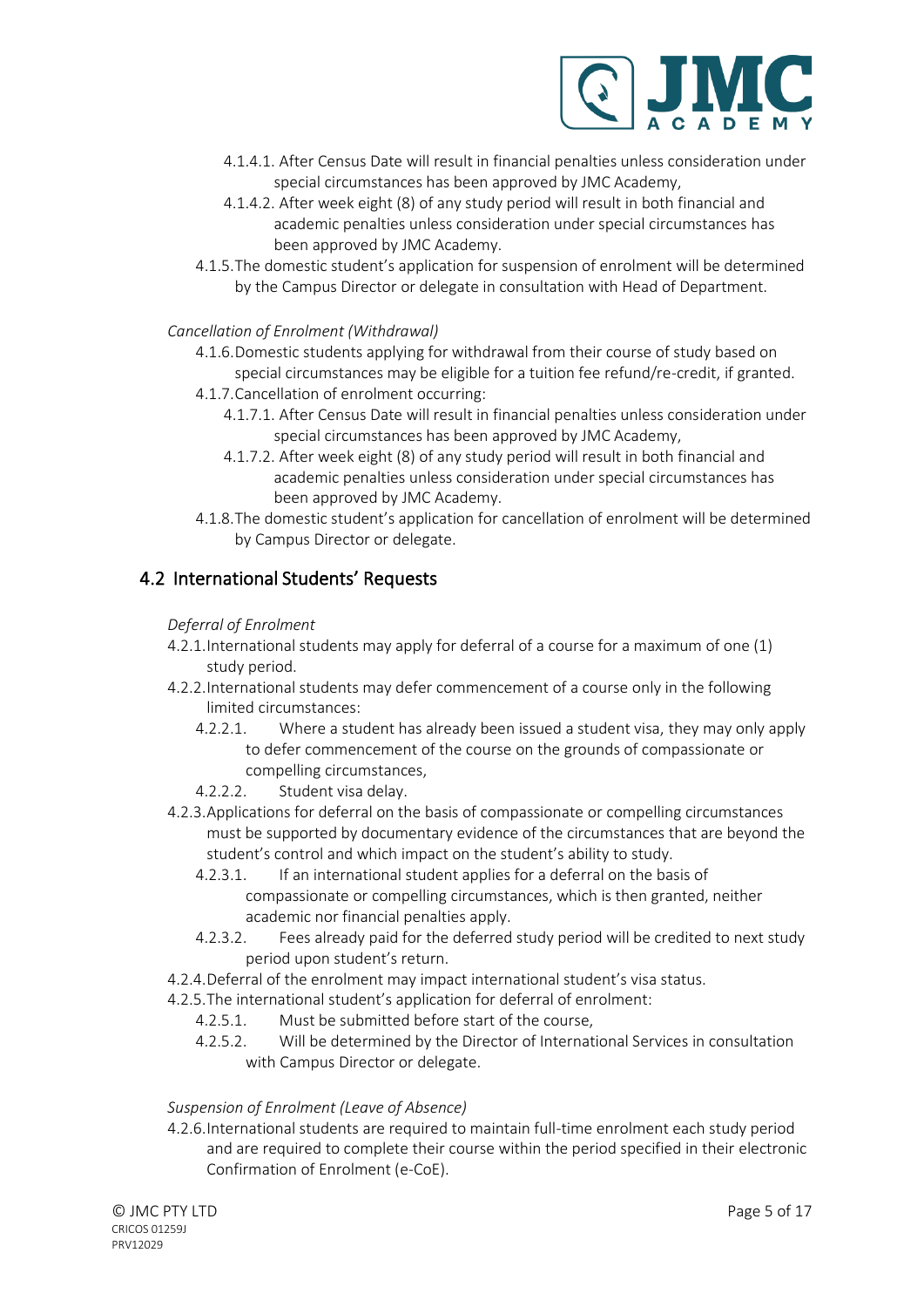

- 4.1.4.1. After Census Date will result in financial penalties unless consideration under special circumstances has been approved by JMC Academy,
- 4.1.4.2. After week eight (8) of any study period will result in both financial and academic penalties unless consideration under special circumstances has been approved by JMC Academy.
- 4.1.5.The domestic student's application for suspension of enrolment will be determined by the Campus Director or delegate in consultation with Head of Department.

#### <span id="page-4-0"></span>*Cancellation of Enrolment (Withdrawal)*

4.1.6.Domestic students applying for withdrawal from their course of study based on special circumstances may be eligible for a tuition fee refund/re-credit, if granted.

- 4.1.7.Cancellation of enrolment occurring:
	- 4.1.7.1. After Census Date will result in financial penalties unless consideration under special circumstances has been approved by JMC Academy,
	- 4.1.7.2. After week eight (8) of any study period will result in both financial and academic penalties unless consideration under special circumstances has been approved by JMC Academy.
- 4.1.8.The domestic student's application for cancellation of enrolment will be determined by Campus Director or delegate.

#### <span id="page-4-2"></span><span id="page-4-1"></span>4.2 International Students' Requests

#### *Deferral of Enrolment*

- 4.2.1.International students may apply for deferral of a course for a maximum of one (1) study period.
- 4.2.2.International students may defer commencement of a course only in the following limited circumstances:
	- 4.2.2.1. Where a student has already been issued a student visa, they may only apply to defer commencement of the course on the grounds of compassionate or compelling circumstances,
	- 4.2.2.2. Student visa delay.
- 4.2.3.Applications for deferral on the basis of compassionate or compelling circumstances must be supported by documentary evidence of the circumstances that are beyond the student's control and which impact on the student's ability to study.
	- 4.2.3.1. If an international student applies for a deferral on the basis of compassionate or compelling circumstances, which is then granted, neither academic nor financial penalties apply.
	- 4.2.3.2. Fees already paid for the deferred study period will be credited to next study period upon student's return.
- 4.2.4.Deferral of the enrolment may impact international student's visa status.
- 4.2.5.The international student's application for deferral of enrolment:
	- 4.2.5.1. Must be submitted before start of the course,
	- 4.2.5.2. Will be determined by the Director of International Services in consultation with Campus Director or delegate.

#### <span id="page-4-3"></span>*Suspension of Enrolment (Leave of Absence)*

4.2.6.International students are required to maintain full-time enrolment each study period and are required to complete their course within the period specified in their electronic Confirmation of Enrolment (e-CoE).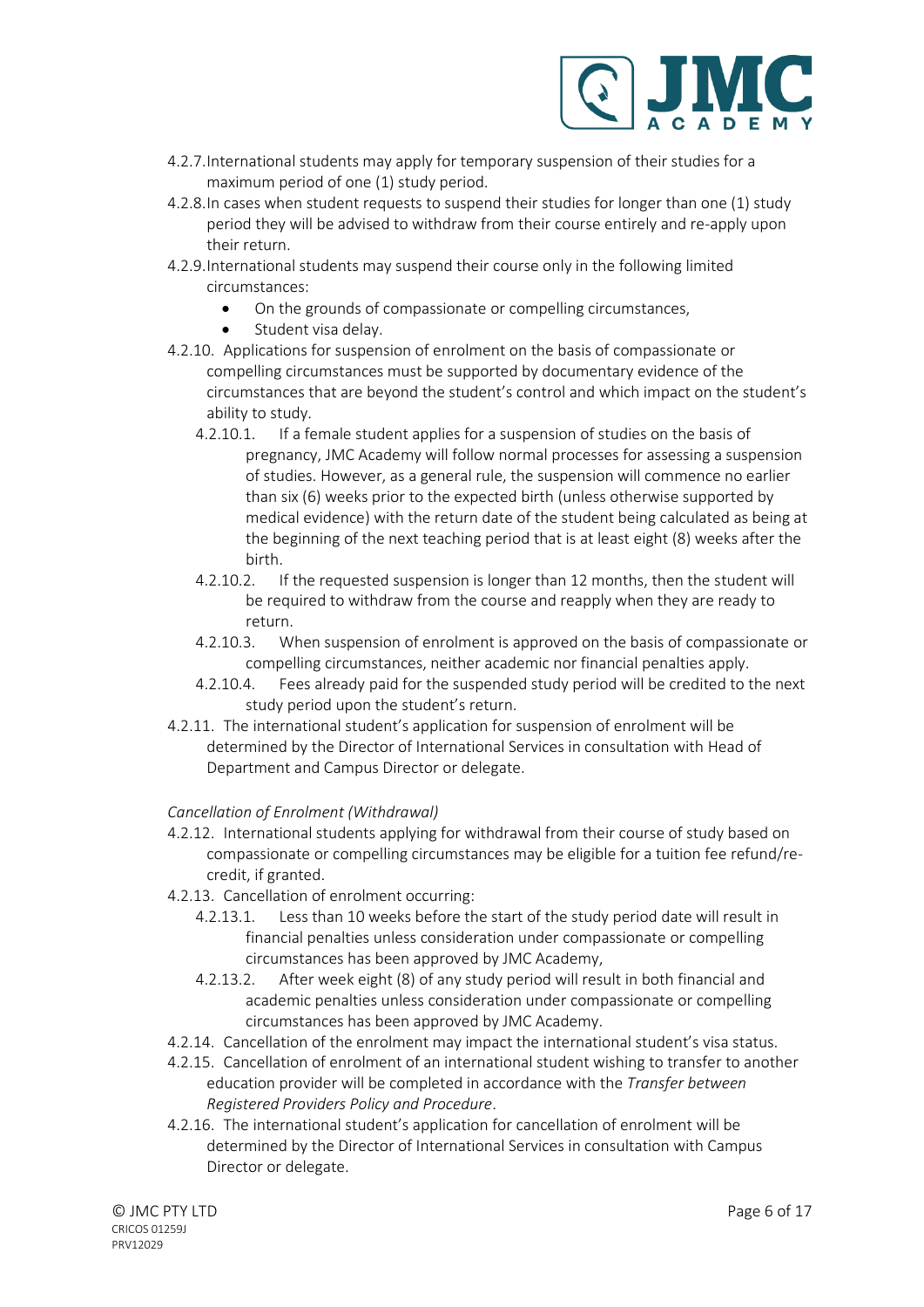

- 4.2.7.International students may apply for temporary suspension of their studies for a maximum period of one (1) study period.
- 4.2.8.In cases when student requests to suspend their studies for longer than one (1) study period they will be advised to withdraw from their course entirely and re-apply upon their return.
- 4.2.9.International students may suspend their course only in the following limited circumstances:
	- On the grounds of compassionate or compelling circumstances,
	- Student visa delay.
- 4.2.10. Applications for suspension of enrolment on the basis of compassionate or compelling circumstances must be supported by documentary evidence of the circumstances that are beyond the student's control and which impact on the student's ability to study.
	- 4.2.10.1. If a female student applies for a suspension of studies on the basis of pregnancy, JMC Academy will follow normal processes for assessing a suspension of studies. However, as a general rule, the suspension will commence no earlier than six (6) weeks prior to the expected birth (unless otherwise supported by medical evidence) with the return date of the student being calculated as being at the beginning of the next teaching period that is at least eight (8) weeks after the birth.
	- 4.2.10.2. If the requested suspension is longer than 12 months, then the student will be required to withdraw from the course and reapply when they are ready to return.
	- 4.2.10.3. When suspension of enrolment is approved on the basis of compassionate or compelling circumstances, neither academic nor financial penalties apply.
	- 4.2.10.4. Fees already paid for the suspended study period will be credited to the next study period upon the student's return.
- 4.2.11. The international student's application for suspension of enrolment will be determined by the Director of International Services in consultation with Head of Department and Campus Director or delegate.

#### <span id="page-5-0"></span>*Cancellation of Enrolment (Withdrawal)*

- 4.2.12. International students applying for withdrawal from their course of study based on compassionate or compelling circumstances may be eligible for a tuition fee refund/recredit, if granted.
- 4.2.13. Cancellation of enrolment occurring:
	- 4.2.13.1. Less than 10 weeks before the start of the study period date will result in financial penalties unless consideration under compassionate or compelling circumstances has been approved by JMC Academy,
	- 4.2.13.2. After week eight (8) of any study period will result in both financial and academic penalties unless consideration under compassionate or compelling circumstances has been approved by JMC Academy.
- 4.2.14. Cancellation of the enrolment may impact the international student's visa status.
- 4.2.15. Cancellation of enrolment of an international student wishing to transfer to another education provider will be completed in accordance with the *Transfer between Registered Providers Policy and Procedure*.
- 4.2.16. The international student's application for cancellation of enrolment will be determined by the Director of International Services in consultation with Campus Director or delegate.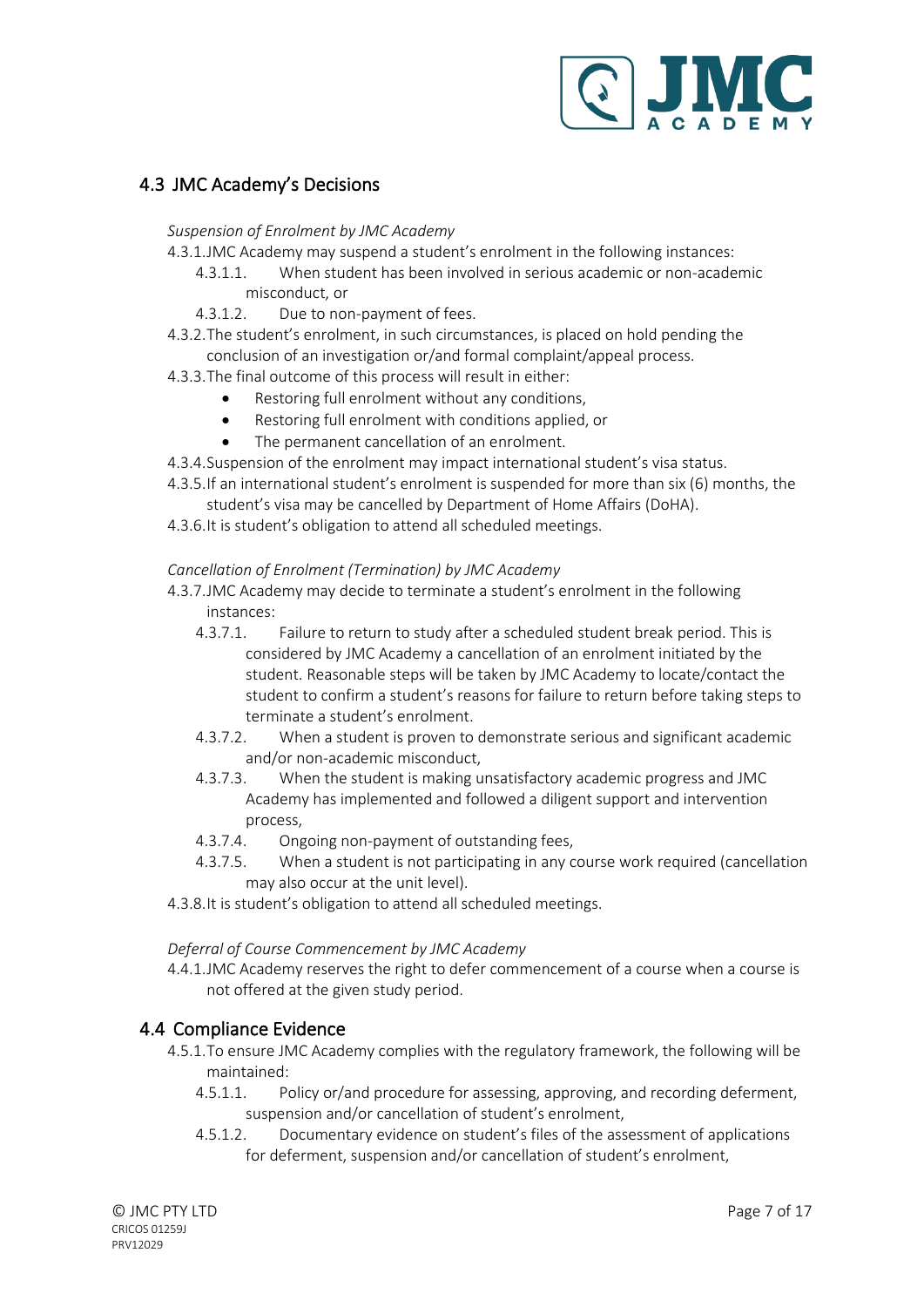

#### <span id="page-6-1"></span><span id="page-6-0"></span>4.3 JMC Academy's Decisions

#### *Suspension of Enrolment by JMC Academy*

- 4.3.1.JMC Academy may suspend a student's enrolment in the following instances:
	- 4.3.1.1. When student has been involved in serious academic or non-academic misconduct, or
	- 4.3.1.2. Due to non-payment of fees.
- 4.3.2.The student's enrolment, in such circumstances, is placed on hold pending the conclusion of an investigation or/and formal complaint/appeal process.
- 4.3.3.The final outcome of this process will result in either:
	- Restoring full enrolment without any conditions,
	- Restoring full enrolment with conditions applied, or
	- The permanent cancellation of an enrolment.
- 4.3.4.Suspension of the enrolment may impact international student's visa status.
- 4.3.5.If an international student's enrolment is suspended for more than six (6) months, the student's visa may be cancelled by Department of Home Affairs (DoHA).
- 4.3.6.It is student's obligation to attend all scheduled meetings.

#### <span id="page-6-2"></span>*Cancellation of Enrolment (Termination) by JMC Academy*

- 4.3.7.JMC Academy may decide to terminate a student's enrolment in the following instances:
	- 4.3.7.1. Failure to return to study after a scheduled student break period. This is considered by JMC Academy a cancellation of an enrolment initiated by the student. Reasonable steps will be taken by JMC Academy to locate/contact the student to confirm a student's reasons for failure to return before taking steps to terminate a student's enrolment.
	- 4.3.7.2. When a student is proven to demonstrate serious and significant academic and/or non-academic misconduct,
	- 4.3.7.3. When the student is making unsatisfactory academic progress and JMC Academy has implemented and followed a diligent support and intervention process,
	- 4.3.7.4. Ongoing non-payment of outstanding fees,
	- 4.3.7.5. When a student is not participating in any course work required (cancellation may also occur at the unit level).
- 4.3.8.It is student's obligation to attend all scheduled meetings.

#### <span id="page-6-3"></span>*Deferral of Course Commencement by JMC Academy*

4.4.1.JMC Academy reserves the right to defer commencement of a course when a course is not offered at the given study period.

#### <span id="page-6-4"></span>4.4 Compliance Evidence

- 4.5.1.To ensure JMC Academy complies with the regulatory framework, the following will be maintained:
	- 4.5.1.1. Policy or/and procedure for assessing, approving, and recording deferment, suspension and/or cancellation of student's enrolment,
	- 4.5.1.2. Documentary evidence on student's files of the assessment of applications for deferment, suspension and/or cancellation of student's enrolment,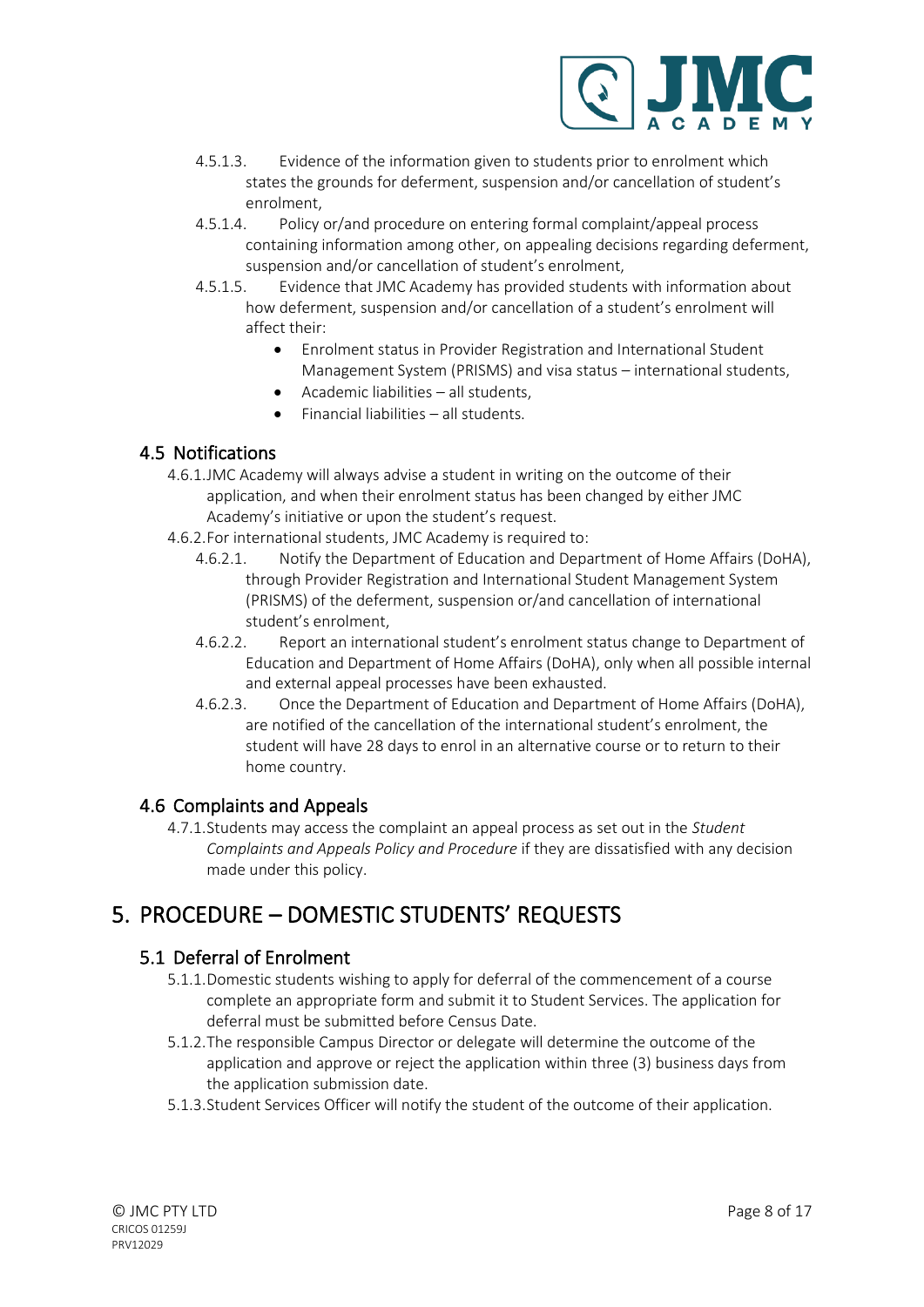

- 4.5.1.3. Evidence of the information given to students prior to enrolment which states the grounds for deferment, suspension and/or cancellation of student's enrolment,
- 4.5.1.4. Policy or/and procedure on entering formal complaint/appeal process containing information among other, on appealing decisions regarding deferment, suspension and/or cancellation of student's enrolment,
- 4.5.1.5. Evidence that JMC Academy has provided students with information about how deferment, suspension and/or cancellation of a student's enrolment will affect their:
	- Enrolment status in Provider Registration and International Student Management System (PRISMS) and visa status – international students,
	- Academic liabilities all students,
	- Financial liabilities all students.

#### <span id="page-7-0"></span>4.5 Notifications

- 4.6.1.JMC Academy will always advise a student in writing on the outcome of their application, and when their enrolment status has been changed by either JMC Academy's initiative or upon the student's request.
- 4.6.2.For international students, JMC Academy is required to:
	- 4.6.2.1. Notify the Department of Education and Department of Home Affairs (DoHA), through Provider Registration and International Student Management System (PRISMS) of the deferment, suspension or/and cancellation of international student's enrolment,
	- 4.6.2.2. Report an international student's enrolment status change to Department of Education and Department of Home Affairs (DoHA), only when all possible internal and external appeal processes have been exhausted.
	- 4.6.2.3. Once the Department of Education and Department of Home Affairs (DoHA), are notified of the cancellation of the international student's enrolment, the student will have 28 days to enrol in an alternative course or to return to their home country.

#### <span id="page-7-1"></span>4.6 Complaints and Appeals

4.7.1.Students may access the complaint an appeal process as set out in the *Student Complaints and Appeals Policy and Procedure* if they are dissatisfied with any decision made under this policy.

# <span id="page-7-2"></span>5. PROCEDURE – DOMESTIC STUDENTS' REQUESTS

#### <span id="page-7-3"></span>5.1 Deferral of Enrolment

- 5.1.1.Domestic students wishing to apply for deferral of the commencement of a course complete an appropriate form and submit it to Student Services. The application for deferral must be submitted before Census Date.
- 5.1.2.The responsible Campus Director or delegate will determine the outcome of the application and approve or reject the application within three (3) business days from the application submission date.
- 5.1.3.Student Services Officer will notify the student of the outcome of their application.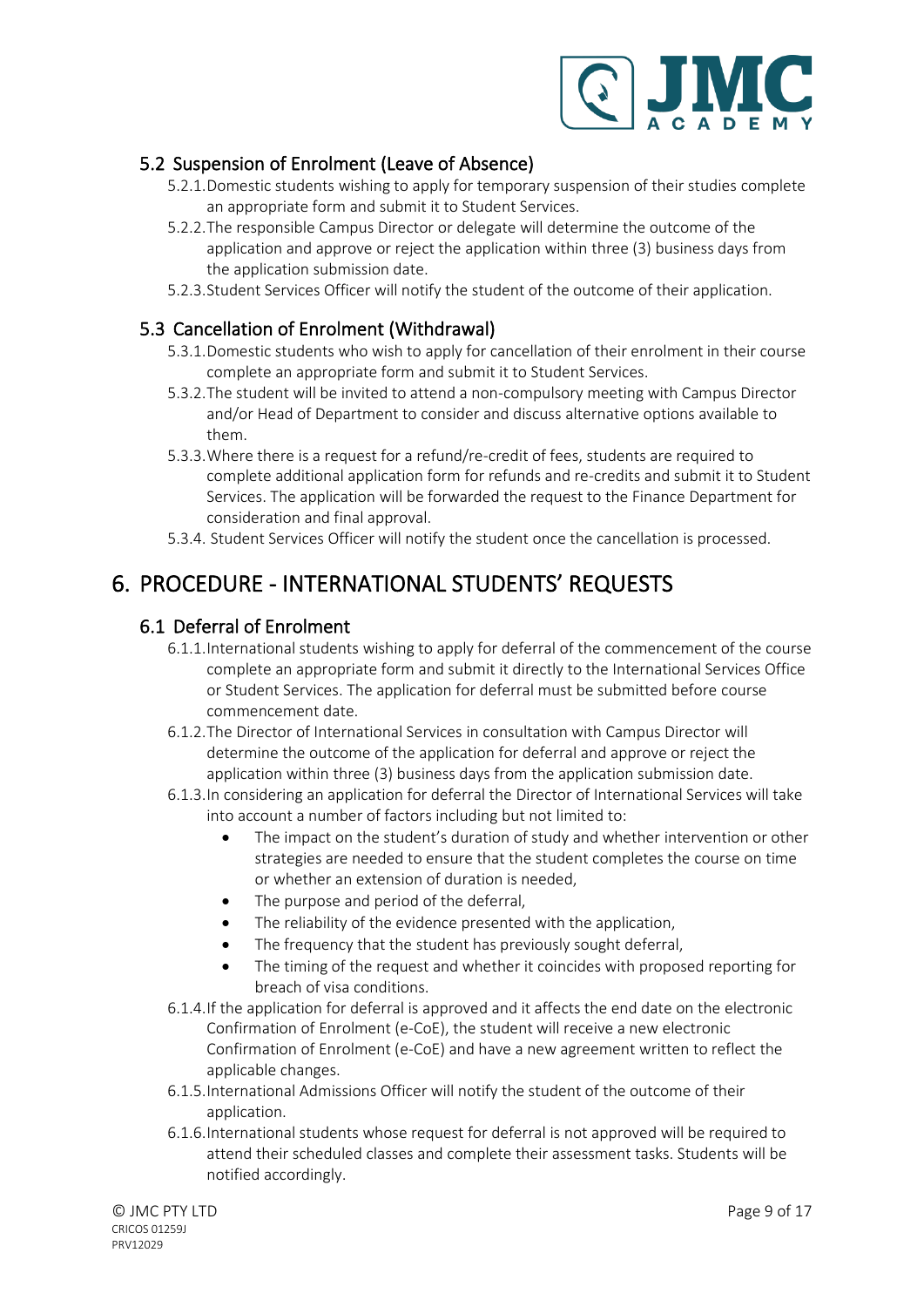

#### <span id="page-8-0"></span>5.2 Suspension of Enrolment (Leave of Absence)

- 5.2.1.Domestic students wishing to apply for temporary suspension of their studies complete an appropriate form and submit it to Student Services.
- 5.2.2.The responsible Campus Director or delegate will determine the outcome of the application and approve or reject the application within three (3) business days from the application submission date.
- 5.2.3.Student Services Officer will notify the student of the outcome of their application.

#### <span id="page-8-1"></span>5.3 Cancellation of Enrolment (Withdrawal)

- 5.3.1.Domestic students who wish to apply for cancellation of their enrolment in their course complete an appropriate form and submit it to Student Services.
- 5.3.2.The student will be invited to attend a non-compulsory meeting with Campus Director and/or Head of Department to consider and discuss alternative options available to them.
- 5.3.3.Where there is a request for a refund/re-credit of fees, students are required to complete additional application form for refunds and re-credits and submit it to Student Services. The application will be forwarded the request to the Finance Department for consideration and final approval.
- 5.3.4. Student Services Officer will notify the student once the cancellation is processed.

# <span id="page-8-2"></span>6. PROCEDURE - INTERNATIONAL STUDENTS' REQUESTS

#### <span id="page-8-3"></span>6.1 Deferral of Enrolment

- 6.1.1.International students wishing to apply for deferral of the commencement of the course complete an appropriate form and submit it directly to the International Services Office or Student Services. The application for deferral must be submitted before course commencement date.
- 6.1.2.The Director of International Services in consultation with Campus Director will determine the outcome of the application for deferral and approve or reject the application within three (3) business days from the application submission date.
- 6.1.3.In considering an application for deferral the Director of International Services will take into account a number of factors including but not limited to:
	- The impact on the student's duration of study and whether intervention or other strategies are needed to ensure that the student completes the course on time or whether an extension of duration is needed,
	- The purpose and period of the deferral,
	- The reliability of the evidence presented with the application,
	- The frequency that the student has previously sought deferral,
	- The timing of the request and whether it coincides with proposed reporting for breach of visa conditions.
- 6.1.4.If the application for deferral is approved and it affects the end date on the electronic Confirmation of Enrolment (e-CoE), the student will receive a new electronic Confirmation of Enrolment (e-CoE) and have a new agreement written to reflect the applicable changes.
- 6.1.5.International Admissions Officer will notify the student of the outcome of their application.
- 6.1.6.International students whose request for deferral is not approved will be required to attend their scheduled classes and complete their assessment tasks. Students will be notified accordingly.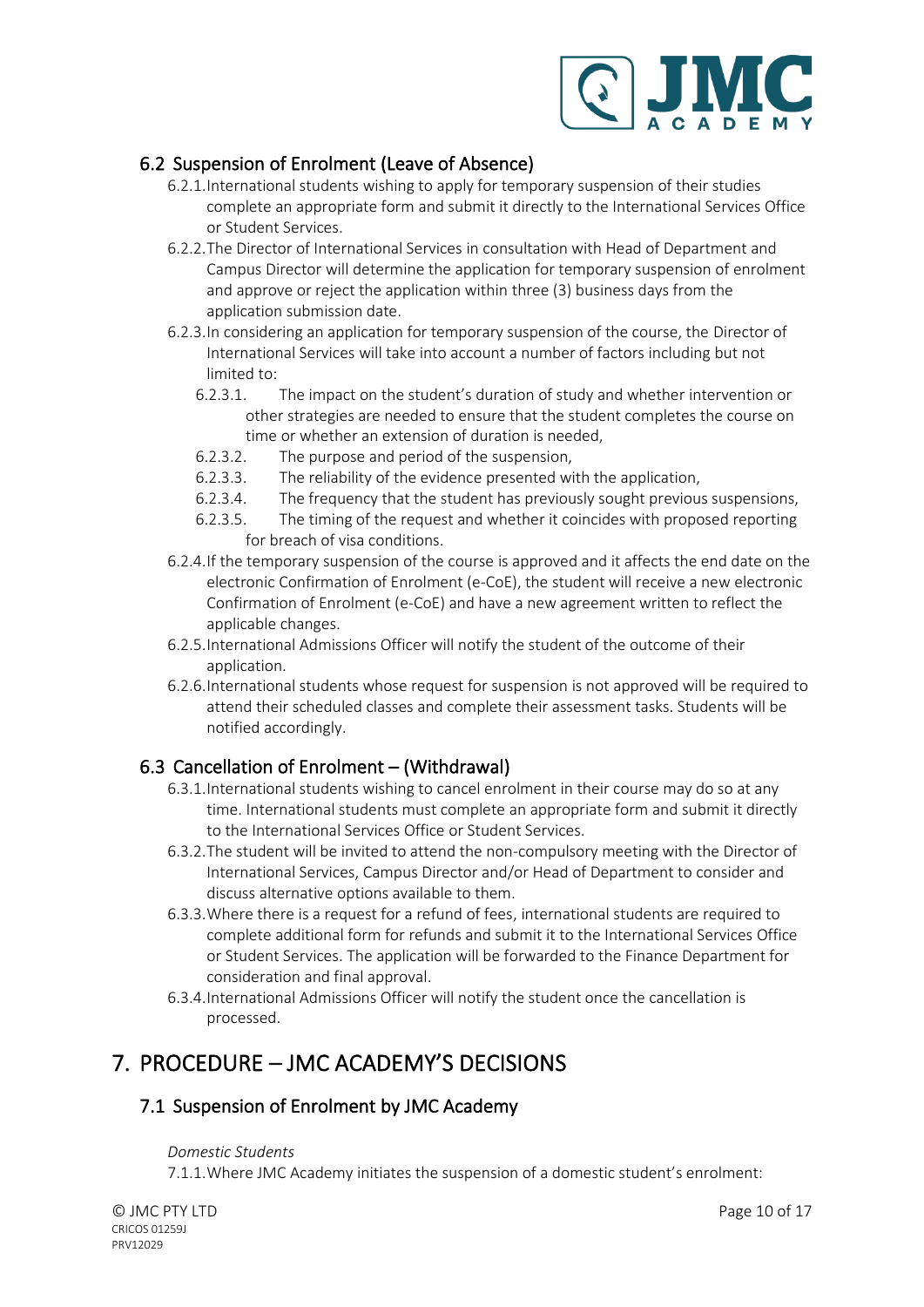

#### <span id="page-9-0"></span>6.2 Suspension of Enrolment (Leave of Absence)

- 6.2.1.International students wishing to apply for temporary suspension of their studies complete an appropriate form and submit it directly to the International Services Office or Student Services.
- 6.2.2.The Director of International Services in consultation with Head of Department and Campus Director will determine the application for temporary suspension of enrolment and approve or reject the application within three (3) business days from the application submission date.
- 6.2.3.In considering an application for temporary suspension of the course, the Director of International Services will take into account a number of factors including but not limited to:
	- 6.2.3.1. The impact on the student's duration of study and whether intervention or other strategies are needed to ensure that the student completes the course on time or whether an extension of duration is needed,
	- 6.2.3.2. The purpose and period of the suspension,
	- 6.2.3.3. The reliability of the evidence presented with the application,
	- 6.2.3.4. The frequency that the student has previously sought previous suspensions,
	- 6.2.3.5. The timing of the request and whether it coincides with proposed reporting for breach of visa conditions.
- 6.2.4.If the temporary suspension of the course is approved and it affects the end date on the electronic Confirmation of Enrolment (e-CoE), the student will receive a new electronic Confirmation of Enrolment (e-CoE) and have a new agreement written to reflect the applicable changes.
- 6.2.5.International Admissions Officer will notify the student of the outcome of their application.
- 6.2.6.International students whose request for suspension is not approved will be required to attend their scheduled classes and complete their assessment tasks. Students will be notified accordingly.

#### <span id="page-9-1"></span>6.3 Cancellation of Enrolment – (Withdrawal)

- 6.3.1.International students wishing to cancel enrolment in their course may do so at any time. International students must complete an appropriate form and submit it directly to the International Services Office or Student Services.
- 6.3.2.The student will be invited to attend the non-compulsory meeting with the Director of International Services, Campus Director and/or Head of Department to consider and discuss alternative options available to them.
- 6.3.3.Where there is a request for a refund of fees, international students are required to complete additional form for refunds and submit it to the International Services Office or Student Services. The application will be forwarded to the Finance Department for consideration and final approval.
- 6.3.4.International Admissions Officer will notify the student once the cancellation is processed.

# <span id="page-9-2"></span>7. PROCEDURE – JMC ACADEMY'S DECISIONS

#### <span id="page-9-4"></span><span id="page-9-3"></span>7.1 Suspension of Enrolment by JMC Academy

#### *Domestic Students*

7.1.1.Where JMC Academy initiates the suspension of a domestic student's enrolment: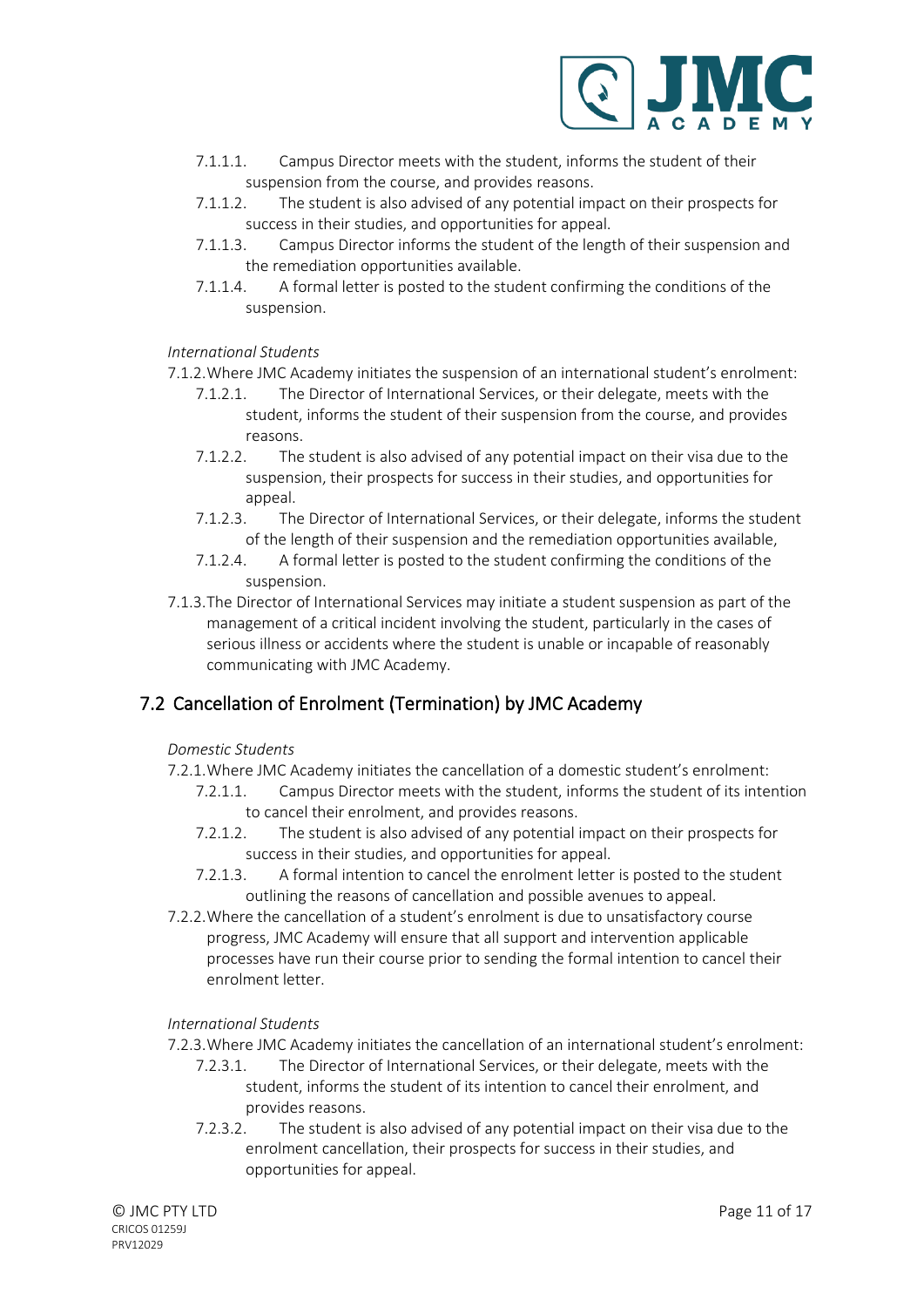

- 7.1.1.1. Campus Director meets with the student, informs the student of their suspension from the course, and provides reasons.
- 7.1.1.2. The student is also advised of any potential impact on their prospects for success in their studies, and opportunities for appeal.
- 7.1.1.3. Campus Director informs the student of the length of their suspension and the remediation opportunities available.
- 7.1.1.4. A formal letter is posted to the student confirming the conditions of the suspension.

#### <span id="page-10-0"></span>*International Students*

- 7.1.2.Where JMC Academy initiates the suspension of an international student's enrolment:
	- 7.1.2.1. The Director of International Services, or their delegate, meets with the student, informs the student of their suspension from the course, and provides reasons.
	- 7.1.2.2. The student is also advised of any potential impact on their visa due to the suspension, their prospects for success in their studies, and opportunities for appeal.
	- 7.1.2.3. The Director of International Services, or their delegate, informs the student of the length of their suspension and the remediation opportunities available,
	- 7.1.2.4. A formal letter is posted to the student confirming the conditions of the suspension.
- 7.1.3.The Director of International Services may initiate a student suspension as part of the management of a critical incident involving the student, particularly in the cases of serious illness or accidents where the student is unable or incapable of reasonably communicating with JMC Academy.

#### <span id="page-10-2"></span><span id="page-10-1"></span>7.2 Cancellation of Enrolment (Termination) by JMC Academy

#### *Domestic Students*

- 7.2.1.Where JMC Academy initiates the cancellation of a domestic student's enrolment:
	- 7.2.1.1. Campus Director meets with the student, informs the student of its intention to cancel their enrolment, and provides reasons.
	- 7.2.1.2. The student is also advised of any potential impact on their prospects for success in their studies, and opportunities for appeal.
	- 7.2.1.3. A formal intention to cancel the enrolment letter is posted to the student outlining the reasons of cancellation and possible avenues to appeal.
- 7.2.2.Where the cancellation of a student's enrolment is due to unsatisfactory course progress, JMC Academy will ensure that all support and intervention applicable processes have run their course prior to sending the formal intention to cancel their enrolment letter.

#### <span id="page-10-3"></span>*International Students*

- 7.2.3.Where JMC Academy initiates the cancellation of an international student's enrolment:
	- 7.2.3.1. The Director of International Services, or their delegate, meets with the student, informs the student of its intention to cancel their enrolment, and provides reasons.
	- 7.2.3.2. The student is also advised of any potential impact on their visa due to the enrolment cancellation, their prospects for success in their studies, and opportunities for appeal.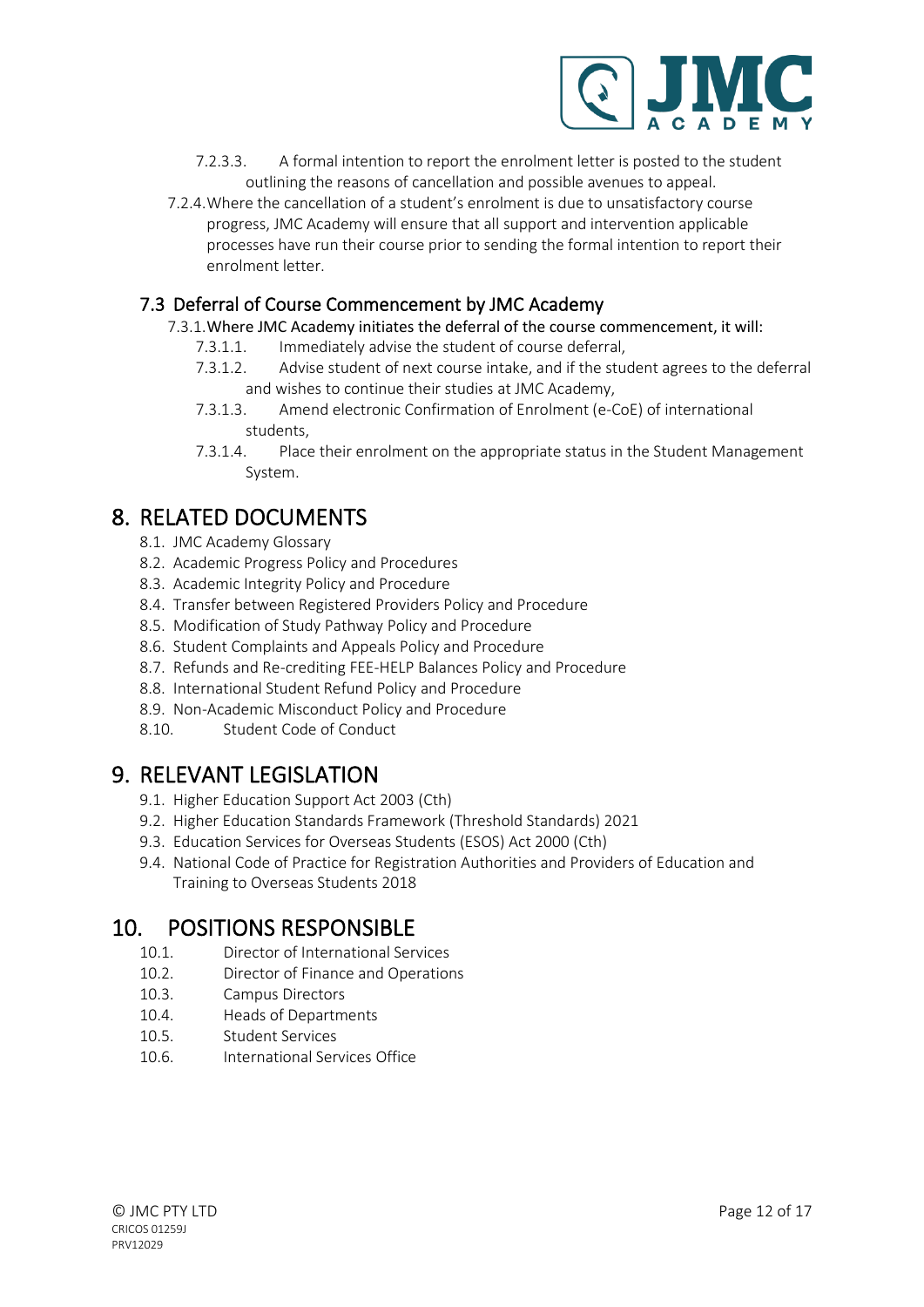

- 7.2.3.3. A formal intention to report the enrolment letter is posted to the student outlining the reasons of cancellation and possible avenues to appeal.
- 7.2.4.Where the cancellation of a student's enrolment is due to unsatisfactory course progress, JMC Academy will ensure that all support and intervention applicable processes have run their course prior to sending the formal intention to report their enrolment letter.

#### <span id="page-11-0"></span>7.3 Deferral of Course Commencement by JMC Academy

7.3.1.Where JMC Academy initiates the deferral of the course commencement, it will:

- 7.3.1.1. Immediately advise the student of course deferral,
- 7.3.1.2. Advise student of next course intake, and if the student agrees to the deferral and wishes to continue their studies at JMC Academy,
- 7.3.1.3. Amend electronic Confirmation of Enrolment (e-CoE) of international students,
- 7.3.1.4. Place their enrolment on the appropriate status in the Student Management System.

### <span id="page-11-1"></span>8. RELATED DOCUMENTS

- 8.1. JMC Academy Glossary
- 8.2. Academic Progress Policy and Procedures
- 8.3. Academic Integrity Policy and Procedure
- 8.4. Transfer between Registered Providers Policy and Procedure
- 8.5. Modification of Study Pathway Policy and Procedure
- 8.6. Student Complaints and Appeals Policy and Procedure
- 8.7. Refunds and Re-crediting FEE-HELP Balances Policy and Procedure
- 8.8. International Student Refund Policy and Procedure
- 8.9. Non-Academic Misconduct Policy and Procedure
- 8.10. Student Code of Conduct

### <span id="page-11-2"></span>9. RELEVANT LEGISLATION

- 9.1. Higher Education Support Act 2003 (Cth)
- 9.2. Higher Education Standards Framework (Threshold Standards) 2021
- 9.3. Education Services for Overseas Students (ESOS) Act 2000 (Cth)
- 9.4. National Code of Practice for Registration Authorities and Providers of Education and Training to Overseas Students 2018

### <span id="page-11-3"></span>10. POSITIONS RESPONSIBLE

- 10.1. Director of International Services
- 10.2. Director of Finance and Operations
- 10.3. Campus Directors
- 10.4. Heads of Departments
- 10.5. Student Services
- 10.6. International Services Office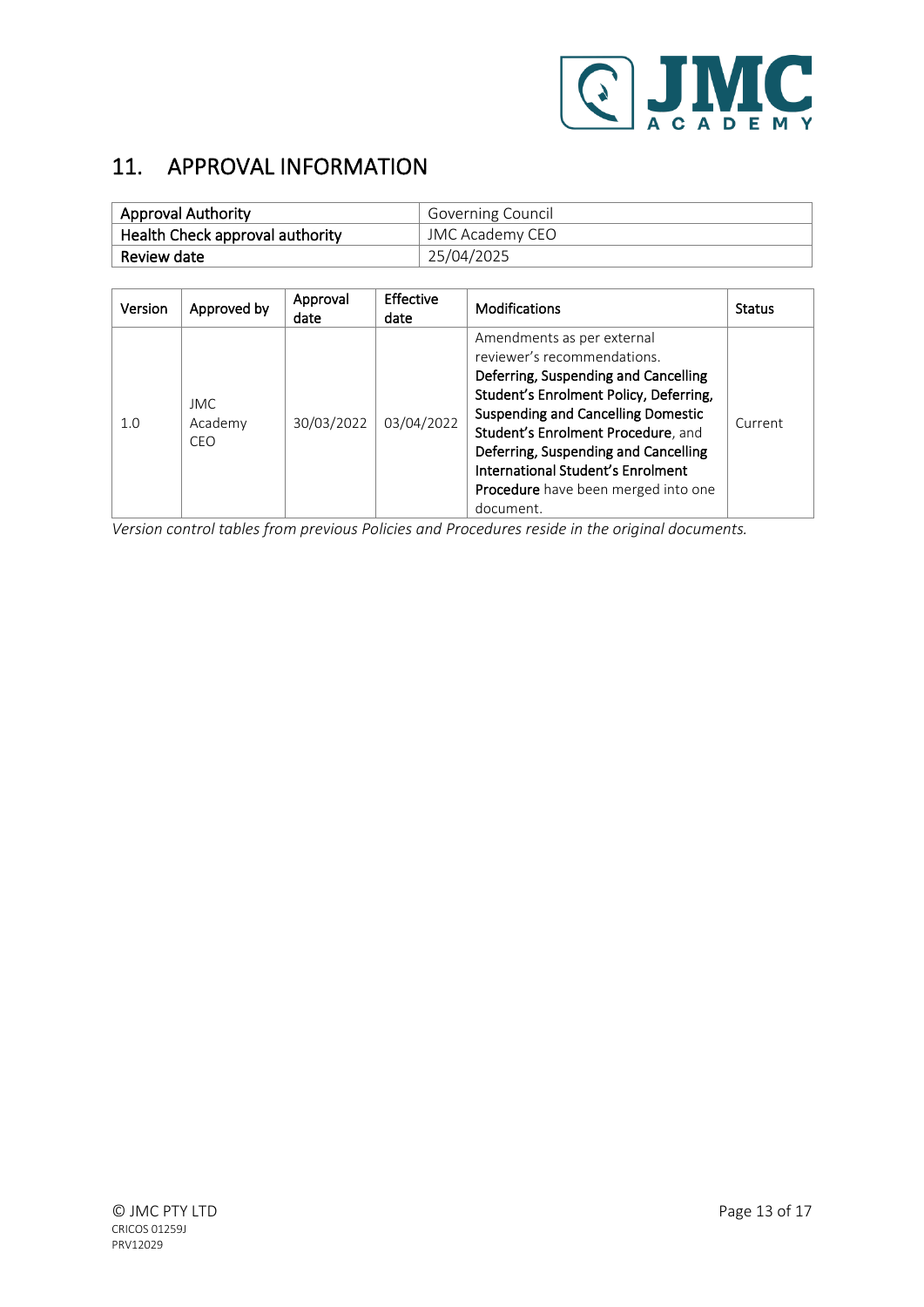

# <span id="page-12-0"></span>11. APPROVAL INFORMATION

| <b>Approval Authority</b>       | Governing Council |  |
|---------------------------------|-------------------|--|
| Health Check approval authority | JMC Academy CEO   |  |
| Review date                     | 25/04/2025        |  |

| Version | Approved by                   | Approval<br>date | Effective<br>date | <b>Modifications</b>                                                                                                                                                                                                                                                                                                                                                   | <b>Status</b> |
|---------|-------------------------------|------------------|-------------------|------------------------------------------------------------------------------------------------------------------------------------------------------------------------------------------------------------------------------------------------------------------------------------------------------------------------------------------------------------------------|---------------|
| 1.0     | IMC.<br>Academy<br><b>CEO</b> | 30/03/2022       | 03/04/2022        | Amendments as per external<br>reviewer's recommendations.<br>Deferring, Suspending and Cancelling<br>Student's Enrolment Policy, Deferring,<br><b>Suspending and Cancelling Domestic</b><br>Student's Enrolment Procedure, and<br>Deferring, Suspending and Cancelling<br>International Student's Enrolment<br><b>Procedure</b> have been merged into one<br>document. | Current       |

*Version control tables from previous Policies and Procedures reside in the original documents.*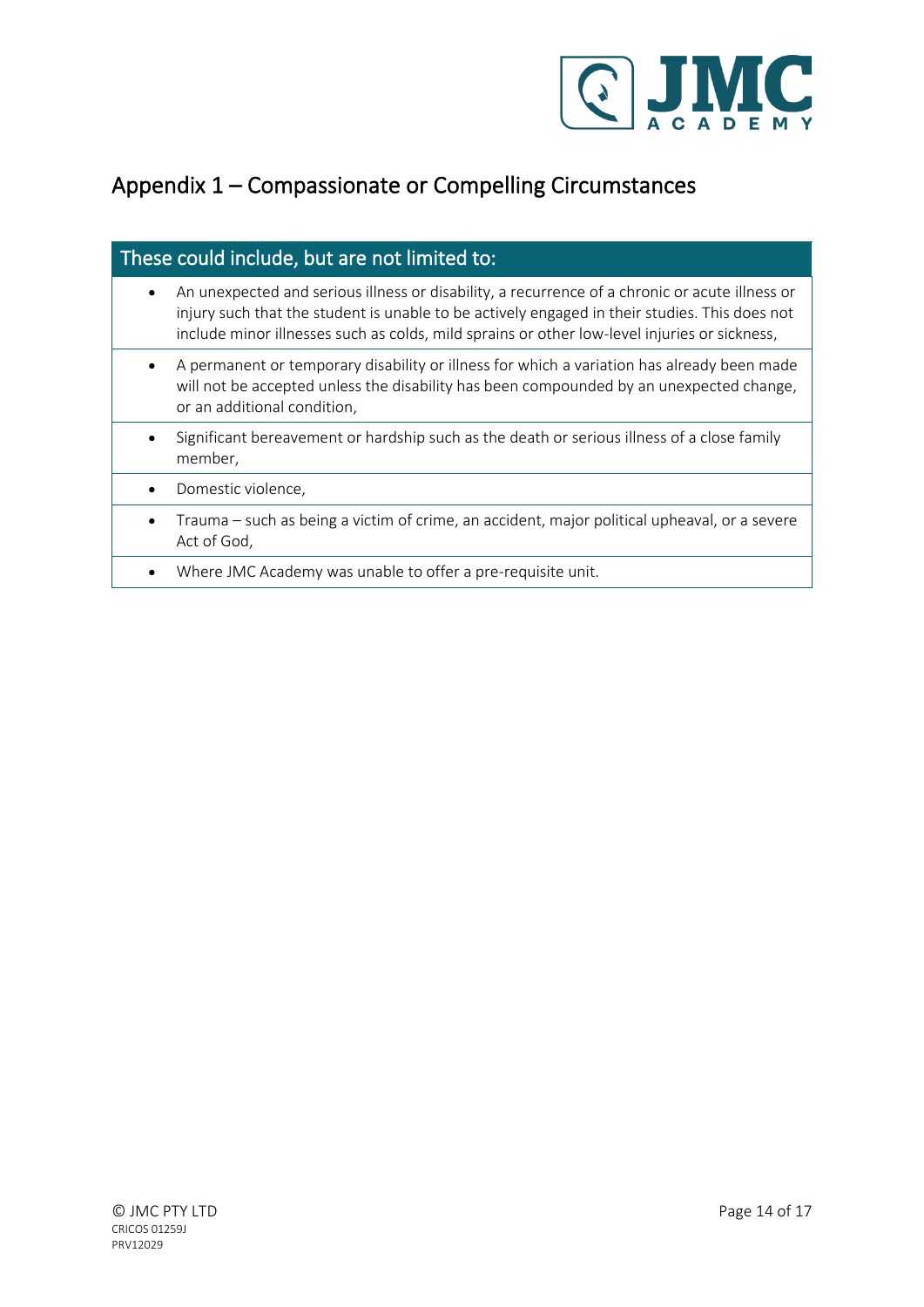

# <span id="page-13-0"></span>Appendix 1 – Compassionate or Compelling Circumstances

### These could include, but are not limited to:

- An unexpected and serious illness or disability, a recurrence of a chronic or acute illness or injury such that the student is unable to be actively engaged in their studies. This does not include minor illnesses such as colds, mild sprains or other low-level injuries or sickness,
- A permanent or temporary disability or illness for which a variation has already been made will not be accepted unless the disability has been compounded by an unexpected change, or an additional condition,
- Significant bereavement or hardship such as the death or serious illness of a close family member,
- Domestic violence,
- Trauma such as being a victim of crime, an accident, major political upheaval, or a severe Act of God,
- Where JMC Academy was unable to offer a pre-requisite unit.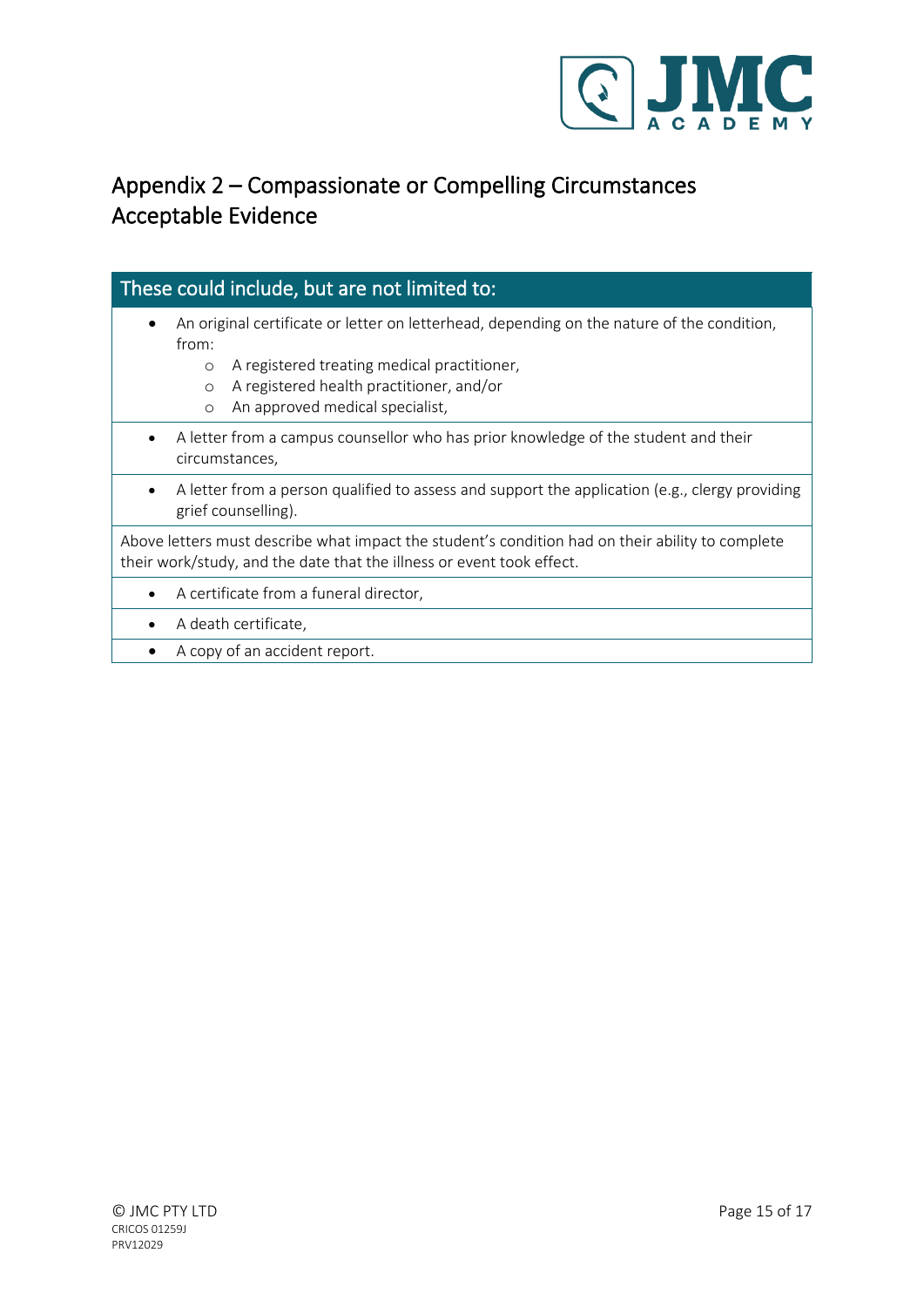

# <span id="page-14-0"></span>Appendix 2 – Compassionate or Compelling Circumstances Acceptable Evidence

### These could include, but are not limited to:

- An original certificate or letter on letterhead, depending on the nature of the condition, from:
	- o A registered treating medical practitioner,
	- o A registered health practitioner, and/or
	- o An approved medical specialist,
- A letter from a campus counsellor who has prior knowledge of the student and their circumstances,
- A letter from a person qualified to assess and support the application (e.g., clergy providing grief counselling).

Above letters must describe what impact the student's condition had on their ability to complete their work/study, and the date that the illness or event took effect.

- A certificate from a funeral director,
- A death certificate,
- A copy of an accident report.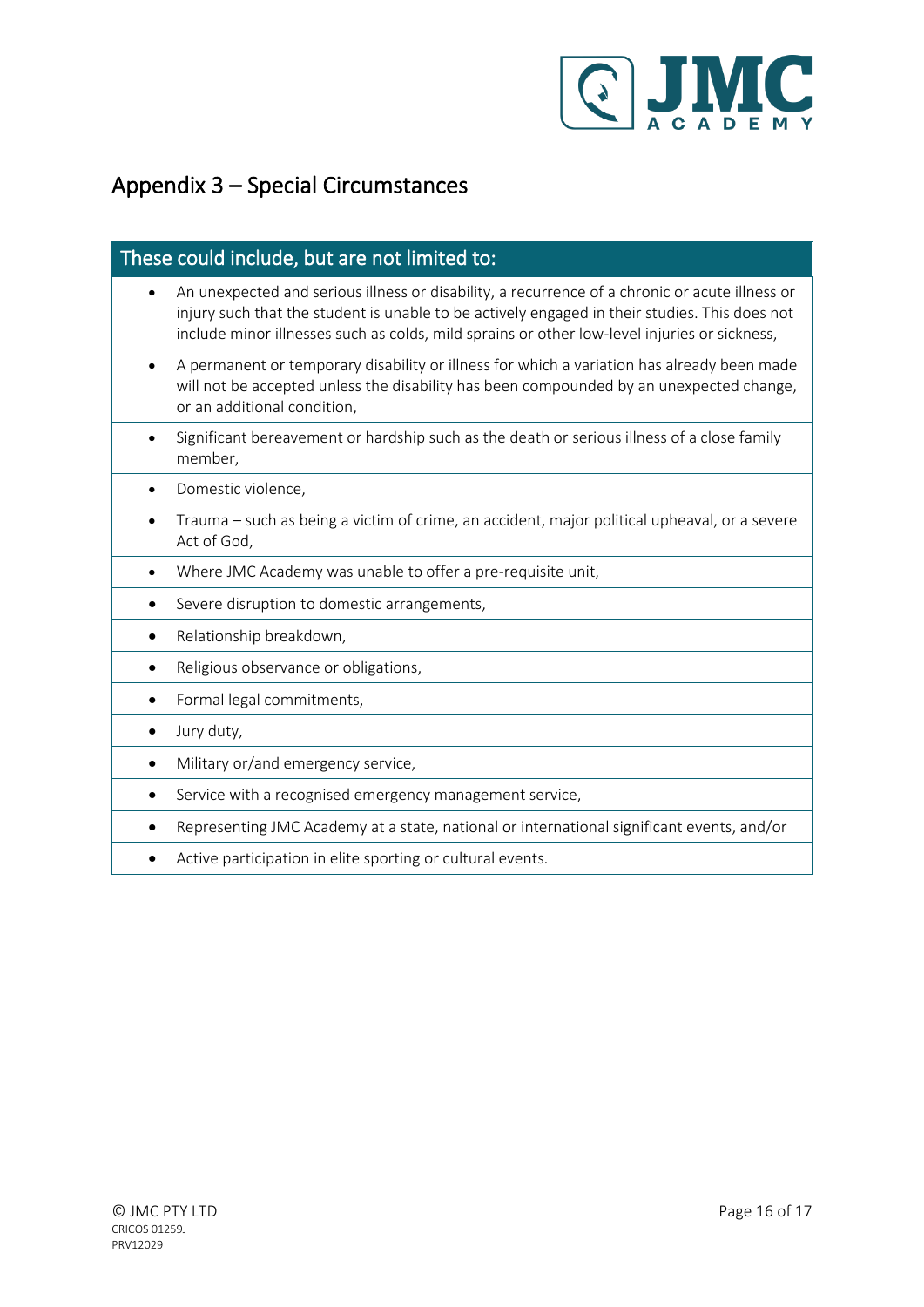

# <span id="page-15-0"></span>Appendix 3 – Special Circumstances

#### These could include, but are not limited to:

- An unexpected and serious illness or disability, a recurrence of a chronic or acute illness or injury such that the student is unable to be actively engaged in their studies. This does not include minor illnesses such as colds, mild sprains or other low-level injuries or sickness,
- A permanent or temporary disability or illness for which a variation has already been made will not be accepted unless the disability has been compounded by an unexpected change, or an additional condition,
- Significant bereavement or hardship such as the death or serious illness of a close family member,
- Domestic violence,
- Trauma such as being a victim of crime, an accident, major political upheaval, or a severe Act of God,
- Where JMC Academy was unable to offer a pre-requisite unit,
- Severe disruption to domestic arrangements,
- Relationship breakdown,
- Religious observance or obligations,
- Formal legal commitments,
- Jury duty,
- Military or/and emergency service,
- Service with a recognised emergency management service,
- Representing JMC Academy at a state, national or international significant events, and/or
- Active participation in elite sporting or cultural events.